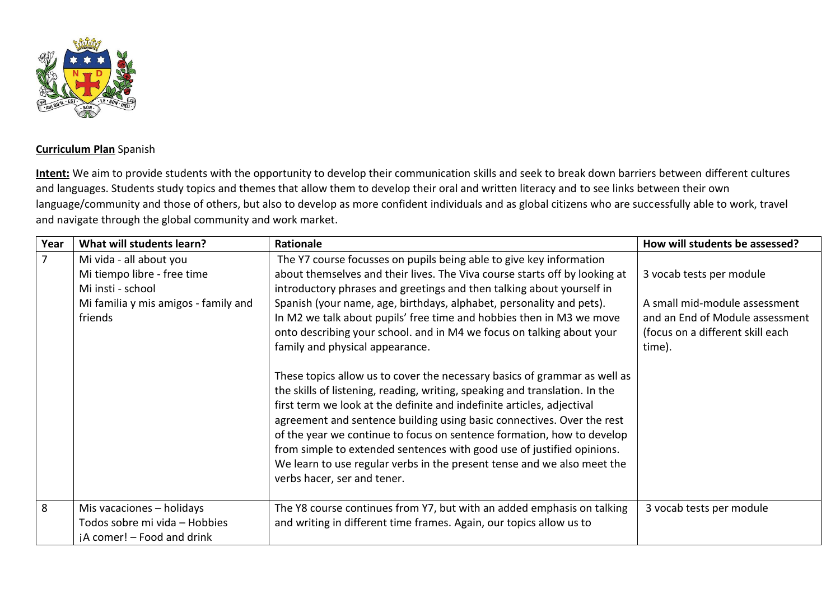

## **Curriculum Plan** Spanish

**Intent:** We aim to provide students with the opportunity to develop their communication skills and seek to break down barriers between different cultures and languages. Students study topics and themes that allow them to develop their oral and written literacy and to see links between their own language/community and those of others, but also to develop as more confident individuals and as global citizens who are successfully able to work, travel and navigate through the global community and work market.

| Year           | What will students learn?                                                                                                      | <b>Rationale</b>                                                                                                                                                                                                                                                                                                                                                                                                                                                                                                                                                                                                                                                                                                                                                                                                                                                                                                                                           | How will students be assessed?                                                                                                             |
|----------------|--------------------------------------------------------------------------------------------------------------------------------|------------------------------------------------------------------------------------------------------------------------------------------------------------------------------------------------------------------------------------------------------------------------------------------------------------------------------------------------------------------------------------------------------------------------------------------------------------------------------------------------------------------------------------------------------------------------------------------------------------------------------------------------------------------------------------------------------------------------------------------------------------------------------------------------------------------------------------------------------------------------------------------------------------------------------------------------------------|--------------------------------------------------------------------------------------------------------------------------------------------|
| $\overline{7}$ | Mi vida - all about you<br>Mi tiempo libre - free time<br>Mi insti - school<br>Mi familia y mis amigos - family and<br>friends | The Y7 course focusses on pupils being able to give key information<br>about themselves and their lives. The Viva course starts off by looking at<br>introductory phrases and greetings and then talking about yourself in<br>Spanish (your name, age, birthdays, alphabet, personality and pets).<br>In M2 we talk about pupils' free time and hobbies then in M3 we move<br>onto describing your school. and in M4 we focus on talking about your<br>family and physical appearance.<br>These topics allow us to cover the necessary basics of grammar as well as<br>the skills of listening, reading, writing, speaking and translation. In the<br>first term we look at the definite and indefinite articles, adjectival<br>agreement and sentence building using basic connectives. Over the rest<br>of the year we continue to focus on sentence formation, how to develop<br>from simple to extended sentences with good use of justified opinions. | 3 vocab tests per module<br>A small mid-module assessment<br>and an End of Module assessment<br>(focus on a different skill each<br>time). |
|                |                                                                                                                                | We learn to use regular verbs in the present tense and we also meet the<br>verbs hacer, ser and tener.                                                                                                                                                                                                                                                                                                                                                                                                                                                                                                                                                                                                                                                                                                                                                                                                                                                     |                                                                                                                                            |
| 8              | Mis vacaciones - holidays<br>Todos sobre mi vida - Hobbies<br>jA comer! - Food and drink                                       | The Y8 course continues from Y7, but with an added emphasis on talking<br>and writing in different time frames. Again, our topics allow us to                                                                                                                                                                                                                                                                                                                                                                                                                                                                                                                                                                                                                                                                                                                                                                                                              | 3 vocab tests per module                                                                                                                   |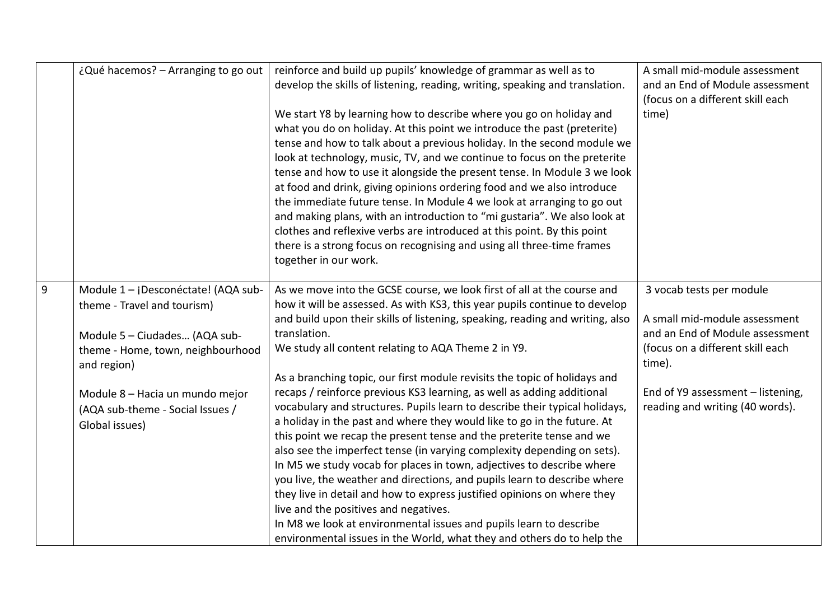|   | ¿Qué hacemos? - Arranging to go out                                                                                                                                                                                                              | reinforce and build up pupils' knowledge of grammar as well as to<br>develop the skills of listening, reading, writing, speaking and translation.<br>We start Y8 by learning how to describe where you go on holiday and<br>what you do on holiday. At this point we introduce the past (preterite)<br>tense and how to talk about a previous holiday. In the second module we<br>look at technology, music, TV, and we continue to focus on the preterite<br>tense and how to use it alongside the present tense. In Module 3 we look<br>at food and drink, giving opinions ordering food and we also introduce<br>the immediate future tense. In Module 4 we look at arranging to go out<br>and making plans, with an introduction to "mi gustaria". We also look at<br>clothes and reflexive verbs are introduced at this point. By this point                                                                                                                                                                                                                                                                                                                                                          | A small mid-module assessment<br>and an End of Module assessment<br>(focus on a different skill each<br>time)                                                                                                      |
|---|--------------------------------------------------------------------------------------------------------------------------------------------------------------------------------------------------------------------------------------------------|------------------------------------------------------------------------------------------------------------------------------------------------------------------------------------------------------------------------------------------------------------------------------------------------------------------------------------------------------------------------------------------------------------------------------------------------------------------------------------------------------------------------------------------------------------------------------------------------------------------------------------------------------------------------------------------------------------------------------------------------------------------------------------------------------------------------------------------------------------------------------------------------------------------------------------------------------------------------------------------------------------------------------------------------------------------------------------------------------------------------------------------------------------------------------------------------------------|--------------------------------------------------------------------------------------------------------------------------------------------------------------------------------------------------------------------|
|   |                                                                                                                                                                                                                                                  | there is a strong focus on recognising and using all three-time frames<br>together in our work.                                                                                                                                                                                                                                                                                                                                                                                                                                                                                                                                                                                                                                                                                                                                                                                                                                                                                                                                                                                                                                                                                                            |                                                                                                                                                                                                                    |
| 9 | Module 1 - ¡Desconéctate! (AQA sub-<br>theme - Travel and tourism)<br>Module 5 - Ciudades (AQA sub-<br>theme - Home, town, neighbourhood<br>and region)<br>Module 8 - Hacia un mundo mejor<br>(AQA sub-theme - Social Issues /<br>Global issues) | As we move into the GCSE course, we look first of all at the course and<br>how it will be assessed. As with KS3, this year pupils continue to develop<br>and build upon their skills of listening, speaking, reading and writing, also<br>translation.<br>We study all content relating to AQA Theme 2 in Y9.<br>As a branching topic, our first module revisits the topic of holidays and<br>recaps / reinforce previous KS3 learning, as well as adding additional<br>vocabulary and structures. Pupils learn to describe their typical holidays,<br>a holiday in the past and where they would like to go in the future. At<br>this point we recap the present tense and the preterite tense and we<br>also see the imperfect tense (in varying complexity depending on sets).<br>In M5 we study vocab for places in town, adjectives to describe where<br>you live, the weather and directions, and pupils learn to describe where<br>they live in detail and how to express justified opinions on where they<br>live and the positives and negatives.<br>In M8 we look at environmental issues and pupils learn to describe<br>environmental issues in the World, what they and others do to help the | 3 vocab tests per module<br>A small mid-module assessment<br>and an End of Module assessment<br>(focus on a different skill each<br>time).<br>End of Y9 assessment - listening,<br>reading and writing (40 words). |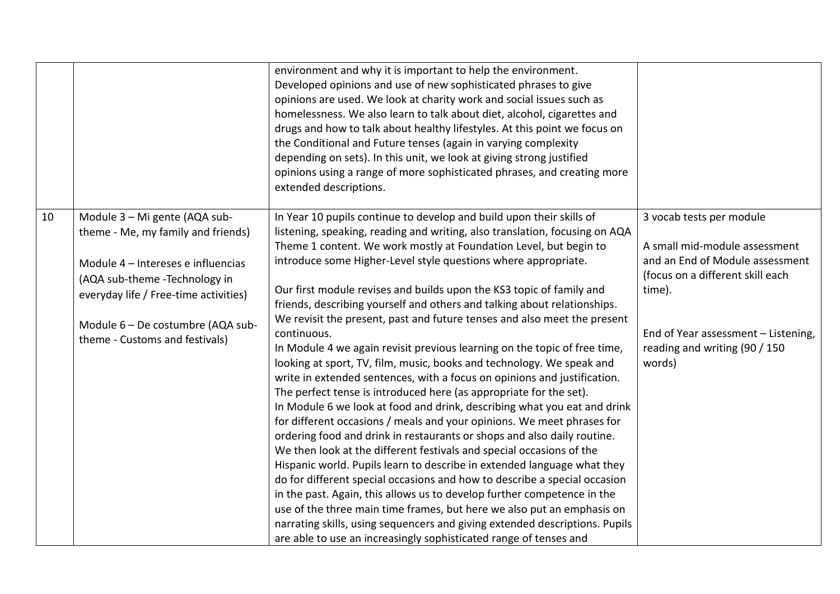|    |                                                                                                                                                                                                                                                            | environment and why it is important to help the environment.<br>Developed opinions and use of new sophisticated phrases to give<br>opinions are used. We look at charity work and social issues such as<br>homelessness. We also learn to talk about diet, alcohol, cigarettes and<br>drugs and how to talk about healthy lifestyles. At this point we focus on<br>the Conditional and Future tenses (again in varying complexity<br>depending on sets). In this unit, we look at giving strong justified<br>opinions using a range of more sophisticated phrases, and creating more<br>extended descriptions.                                                                                                                                                                                                                                                                                                                                                                                                                                                                                                                                                                                                                                                                                                                                                                                                                                                                                                                                                                                                              |                                                                                                                                                                                                                              |
|----|------------------------------------------------------------------------------------------------------------------------------------------------------------------------------------------------------------------------------------------------------------|-----------------------------------------------------------------------------------------------------------------------------------------------------------------------------------------------------------------------------------------------------------------------------------------------------------------------------------------------------------------------------------------------------------------------------------------------------------------------------------------------------------------------------------------------------------------------------------------------------------------------------------------------------------------------------------------------------------------------------------------------------------------------------------------------------------------------------------------------------------------------------------------------------------------------------------------------------------------------------------------------------------------------------------------------------------------------------------------------------------------------------------------------------------------------------------------------------------------------------------------------------------------------------------------------------------------------------------------------------------------------------------------------------------------------------------------------------------------------------------------------------------------------------------------------------------------------------------------------------------------------------|------------------------------------------------------------------------------------------------------------------------------------------------------------------------------------------------------------------------------|
| 10 | Module 3 - Mi gente (AQA sub-<br>theme - Me, my family and friends)<br>Module 4 - Intereses e influencias<br>(AQA sub-theme -Technology in<br>everyday life / Free-time activities)<br>Module 6 - De costumbre (AQA sub-<br>theme - Customs and festivals) | In Year 10 pupils continue to develop and build upon their skills of<br>listening, speaking, reading and writing, also translation, focusing on AQA<br>Theme 1 content. We work mostly at Foundation Level, but begin to<br>introduce some Higher-Level style questions where appropriate.<br>Our first module revises and builds upon the KS3 topic of family and<br>friends, describing yourself and others and talking about relationships.<br>We revisit the present, past and future tenses and also meet the present<br>continuous.<br>In Module 4 we again revisit previous learning on the topic of free time,<br>looking at sport, TV, film, music, books and technology. We speak and<br>write in extended sentences, with a focus on opinions and justification.<br>The perfect tense is introduced here (as appropriate for the set).<br>In Module 6 we look at food and drink, describing what you eat and drink<br>for different occasions / meals and your opinions. We meet phrases for<br>ordering food and drink in restaurants or shops and also daily routine.<br>We then look at the different festivals and special occasions of the<br>Hispanic world. Pupils learn to describe in extended language what they<br>do for different special occasions and how to describe a special occasion<br>in the past. Again, this allows us to develop further competence in the<br>use of the three main time frames, but here we also put an emphasis on<br>narrating skills, using sequencers and giving extended descriptions. Pupils<br>are able to use an increasingly sophisticated range of tenses and | 3 vocab tests per module<br>A small mid-module assessment<br>and an End of Module assessment<br>(focus on a different skill each<br>time).<br>End of Year assessment - Listening,<br>reading and writing (90 / 150<br>words) |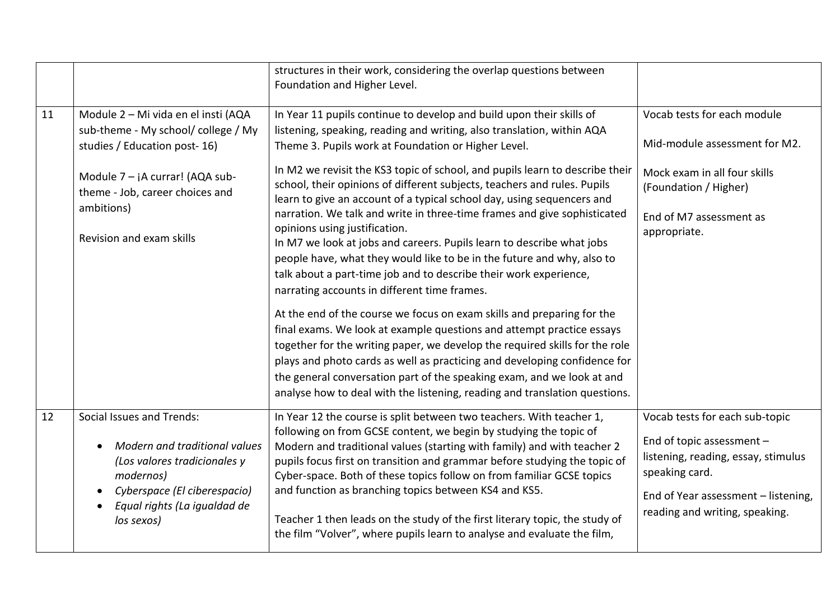|    |                                                                                                                                                                                                                              | structures in their work, considering the overlap questions between<br>Foundation and Higher Level.                                                                                                                                                                                                                                                                                                                                                                                                                                                                                                                                                                                                                                                                                                                                                                                                                                                                                                                                                                                                                                                                                                                                                                                                     |                                                                                                                                                                                               |
|----|------------------------------------------------------------------------------------------------------------------------------------------------------------------------------------------------------------------------------|---------------------------------------------------------------------------------------------------------------------------------------------------------------------------------------------------------------------------------------------------------------------------------------------------------------------------------------------------------------------------------------------------------------------------------------------------------------------------------------------------------------------------------------------------------------------------------------------------------------------------------------------------------------------------------------------------------------------------------------------------------------------------------------------------------------------------------------------------------------------------------------------------------------------------------------------------------------------------------------------------------------------------------------------------------------------------------------------------------------------------------------------------------------------------------------------------------------------------------------------------------------------------------------------------------|-----------------------------------------------------------------------------------------------------------------------------------------------------------------------------------------------|
| 11 | Module 2 - Mi vida en el insti (AQA<br>sub-theme - My school/ college / My<br>studies / Education post-16)<br>Module $7 - iA current$ (AQA sub-<br>theme - Job, career choices and<br>ambitions)<br>Revision and exam skills | In Year 11 pupils continue to develop and build upon their skills of<br>listening, speaking, reading and writing, also translation, within AQA<br>Theme 3. Pupils work at Foundation or Higher Level.<br>In M2 we revisit the KS3 topic of school, and pupils learn to describe their<br>school, their opinions of different subjects, teachers and rules. Pupils<br>learn to give an account of a typical school day, using sequencers and<br>narration. We talk and write in three-time frames and give sophisticated<br>opinions using justification.<br>In M7 we look at jobs and careers. Pupils learn to describe what jobs<br>people have, what they would like to be in the future and why, also to<br>talk about a part-time job and to describe their work experience,<br>narrating accounts in different time frames.<br>At the end of the course we focus on exam skills and preparing for the<br>final exams. We look at example questions and attempt practice essays<br>together for the writing paper, we develop the required skills for the role<br>plays and photo cards as well as practicing and developing confidence for<br>the general conversation part of the speaking exam, and we look at and<br>analyse how to deal with the listening, reading and translation questions. | Vocab tests for each module<br>Mid-module assessment for M2.<br>Mock exam in all four skills<br>(Foundation / Higher)<br>End of M7 assessment as<br>appropriate.                              |
| 12 | Social Issues and Trends:<br>Modern and traditional values<br>(Los valores tradicionales y<br>modernos)<br>Cyberspace (El ciberespacio)<br>Equal rights (La igualdad de<br>los sexos)                                        | In Year 12 the course is split between two teachers. With teacher 1,<br>following on from GCSE content, we begin by studying the topic of<br>Modern and traditional values (starting with family) and with teacher 2<br>pupils focus first on transition and grammar before studying the topic of<br>Cyber-space. Both of these topics follow on from familiar GCSE topics<br>and function as branching topics between KS4 and KS5.<br>Teacher 1 then leads on the study of the first literary topic, the study of<br>the film "Volver", where pupils learn to analyse and evaluate the film,                                                                                                                                                                                                                                                                                                                                                                                                                                                                                                                                                                                                                                                                                                           | Vocab tests for each sub-topic<br>End of topic assessment -<br>listening, reading, essay, stimulus<br>speaking card.<br>End of Year assessment - listening,<br>reading and writing, speaking. |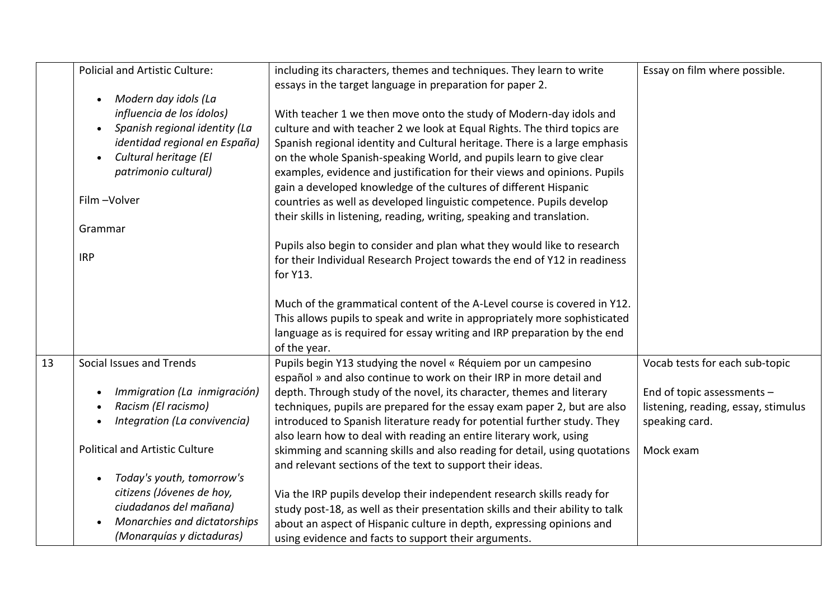|    | <b>Policial and Artistic Culture:</b>                                                                                                                      | including its characters, themes and techniques. They learn to write                                                                                                                                                                                                                                                                                                       | Essay on film where possible.                                                       |
|----|------------------------------------------------------------------------------------------------------------------------------------------------------------|----------------------------------------------------------------------------------------------------------------------------------------------------------------------------------------------------------------------------------------------------------------------------------------------------------------------------------------------------------------------------|-------------------------------------------------------------------------------------|
|    | Modern day idols (La<br>$\bullet$<br>influencia de los ídolos)<br>Spanish regional identity (La<br>$\bullet$                                               | essays in the target language in preparation for paper 2.<br>With teacher 1 we then move onto the study of Modern-day idols and<br>culture and with teacher 2 we look at Equal Rights. The third topics are                                                                                                                                                                |                                                                                     |
|    | identidad regional en España)<br>Cultural heritage (El<br>patrimonio cultural)                                                                             | Spanish regional identity and Cultural heritage. There is a large emphasis<br>on the whole Spanish-speaking World, and pupils learn to give clear<br>examples, evidence and justification for their views and opinions. Pupils<br>gain a developed knowledge of the cultures of different Hispanic                                                                         |                                                                                     |
|    | Film-Volver                                                                                                                                                | countries as well as developed linguistic competence. Pupils develop<br>their skills in listening, reading, writing, speaking and translation.                                                                                                                                                                                                                             |                                                                                     |
|    | Grammar                                                                                                                                                    |                                                                                                                                                                                                                                                                                                                                                                            |                                                                                     |
|    | <b>IRP</b>                                                                                                                                                 | Pupils also begin to consider and plan what they would like to research<br>for their Individual Research Project towards the end of Y12 in readiness<br>for Y13.                                                                                                                                                                                                           |                                                                                     |
|    |                                                                                                                                                            | Much of the grammatical content of the A-Level course is covered in Y12.<br>This allows pupils to speak and write in appropriately more sophisticated<br>language as is required for essay writing and IRP preparation by the end<br>of the year.                                                                                                                          |                                                                                     |
| 13 | Social Issues and Trends                                                                                                                                   | Pupils begin Y13 studying the novel « Réquiem por un campesino                                                                                                                                                                                                                                                                                                             | Vocab tests for each sub-topic                                                      |
|    | Immigration (La inmigración)<br>$\bullet$<br>Racism (El racismo)<br>Integration (La convivencia)                                                           | español » and also continue to work on their IRP in more detail and<br>depth. Through study of the novel, its character, themes and literary<br>techniques, pupils are prepared for the essay exam paper 2, but are also<br>introduced to Spanish literature ready for potential further study. They<br>also learn how to deal with reading an entire literary work, using | End of topic assessments -<br>listening, reading, essay, stimulus<br>speaking card. |
|    | <b>Political and Artistic Culture</b>                                                                                                                      | skimming and scanning skills and also reading for detail, using quotations<br>and relevant sections of the text to support their ideas.                                                                                                                                                                                                                                    | Mock exam                                                                           |
|    | Today's youth, tomorrow's<br>$\bullet$<br>citizens (Jóvenes de hoy,<br>ciudadanos del mañana)<br>Monarchies and dictatorships<br>(Monarquías y dictaduras) | Via the IRP pupils develop their independent research skills ready for<br>study post-18, as well as their presentation skills and their ability to talk<br>about an aspect of Hispanic culture in depth, expressing opinions and<br>using evidence and facts to support their arguments.                                                                                   |                                                                                     |